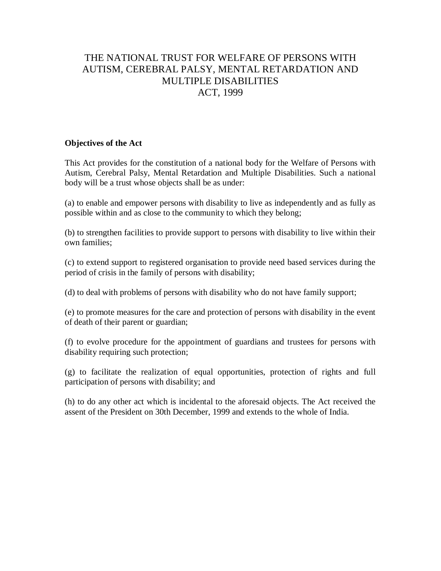# THE NATIONAL TRUST FOR WELFARE OF PERSONS WITH AUTISM, CEREBRAL PALSY, MENTAL RETARDATION AND MULTIPLE DISABILITIES ACT, 1999

## **Objectives of the Act**

This Act provides for the constitution of a national body for the Welfare of Persons with Autism, Cerebral Palsy, Mental Retardation and Multiple Disabilities. Such a national body will be a trust whose objects shall be as under:

(a) to enable and empower persons with disability to live as independently and as fully as possible within and as close to the community to which they belong;

(b) to strengthen facilities to provide support to persons with disability to live within their own families;

(c) to extend support to registered organisation to provide need based services during the period of crisis in the family of persons with disability;

(d) to deal with problems of persons with disability who do not have family support;

(e) to promote measures for the care and protection of persons with disability in the event of death of their parent or guardian;

(f) to evolve procedure for the appointment of guardians and trustees for persons with disability requiring such protection;

(g) to facilitate the realization of equal opportunities, protection of rights and full participation of persons with disability; and

(h) to do any other act which is incidental to the aforesaid objects. The Act received the assent of the President on 30th December, 1999 and extends to the whole of India.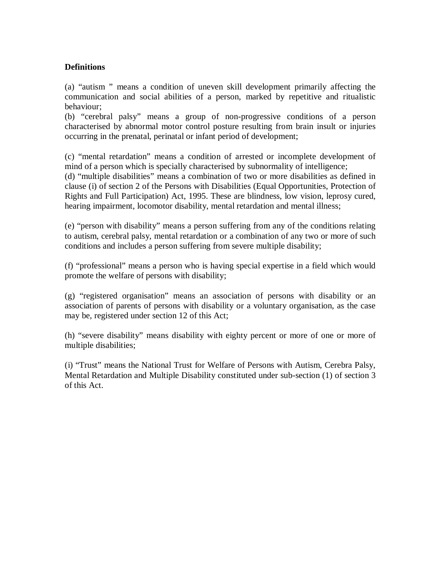# **Definitions**

(a) "autism " means a condition of uneven skill development primarily affecting the communication and social abilities of a person, marked by repetitive and ritualistic behaviour;

(b) "cerebral palsy" means a group of non-progressive conditions of a person characterised by abnormal motor control posture resulting from brain insult or injuries occurring in the prenatal, perinatal or infant period of development;

(c) "mental retardation" means a condition of arrested or incomplete development of mind of a person which is specially characterised by subnormality of intelligence;

(d) "multiple disabilities" means a combination of two or more disabilities as defined in clause (i) of section 2 of the Persons with Disabilities (Equal Opportunities, Protection of Rights and Full Participation) Act, 1995. These are blindness, low vision, leprosy cured, hearing impairment, locomotor disability, mental retardation and mental illness;

(e) "person with disability" means a person suffering from any of the conditions relating to autism, cerebral palsy, mental retardation or a combination of any two or more of such conditions and includes a person suffering from severe multiple disability;

(f) "professional" means a person who is having special expertise in a field which would promote the welfare of persons with disability;

(g) "registered organisation" means an association of persons with disability or an association of parents of persons with disability or a voluntary organisation, as the case may be, registered under section 12 of this Act;

(h) "severe disability" means disability with eighty percent or more of one or more of multiple disabilities;

(i) "Trust" means the National Trust for Welfare of Persons with Autism, Cerebra Palsy, Mental Retardation and Multiple Disability constituted under sub-section (1) of section 3 of this Act.